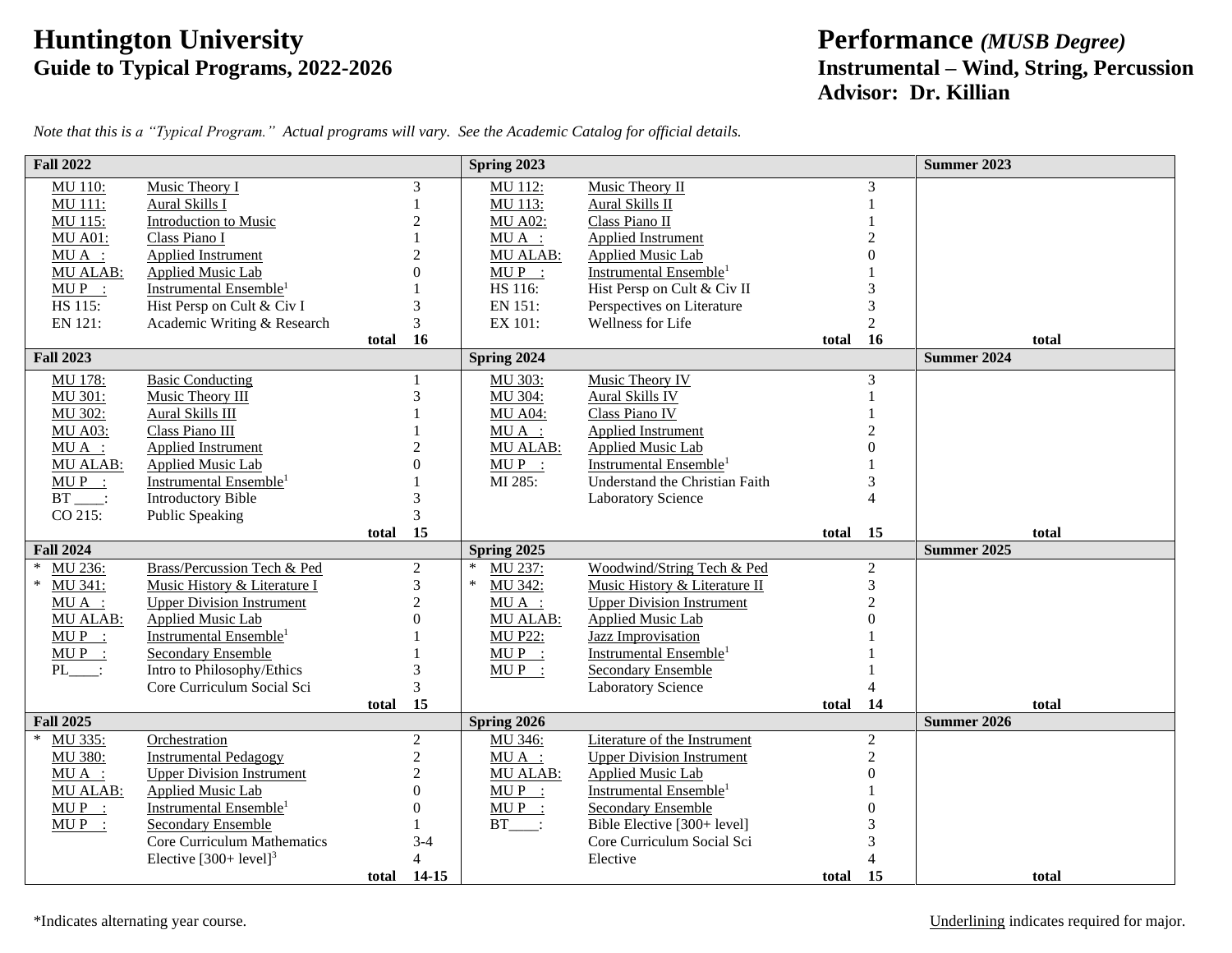## **Friddington University**<br>
Guide to Typical Programs, 2022-2026<br> **Fridding Programs, 2022-2026**<br> **Performance** *(MUSB Degree)*<br> **Instrumental – Wind, String, Peroperation**

## **Guide to Typical Programs, 2022-2026 Instrumental – Wind, String, Percussion Advisor: Dr. Killian**

| <b>Fall 2022</b>  |                                    |       |                  | Spring 2023       |                                    |       |                | <b>Summer 2023</b> |
|-------------------|------------------------------------|-------|------------------|-------------------|------------------------------------|-------|----------------|--------------------|
| MU 110:           | Music Theory I                     |       | 3                | MU 112:           | Music Theory II                    |       | 3              |                    |
| MU 111:           | Aural Skills I                     |       |                  | MU 113:           | Aural Skills II                    |       |                |                    |
| MU 115:           | Introduction to Music              |       | $\overline{2}$   | <b>MU A02:</b>    | Class Piano II                     |       |                |                    |
| <b>MU A01:</b>    | Class Piano I                      |       |                  | $MU A$ :          | <b>Applied Instrument</b>          |       |                |                    |
| $MU A$ :          | Applied Instrument                 |       | $\overline{2}$   | <b>MU ALAB:</b>   | Applied Music Lab                  |       |                |                    |
| <b>MU ALAB:</b>   | Applied Music Lab                  |       | $\theta$         | $MUP$ :           | Instrumental Ensemble <sup>1</sup> |       |                |                    |
| $MUP$ :           | Instrumental Ensemble <sup>1</sup> |       |                  | HS 116:           | Hist Persp on Cult & Civ II        |       |                |                    |
| HS 115:           | Hist Persp on Cult & Civ I         |       | 3                | EN 151:           | Perspectives on Literature         |       | 3              |                    |
| EN 121:           | Academic Writing & Research        |       | 3                | EX 101:           | Wellness for Life                  |       | $\overline{2}$ |                    |
|                   |                                    | total | 16               |                   |                                    | total | 16             | total              |
| <b>Fall 2023</b>  |                                    |       |                  | Spring 2024       |                                    |       |                | <b>Summer 2024</b> |
| $MU$ 178:         | <b>Basic Conducting</b>            |       |                  | MU 303:           | Music Theory IV                    |       | 3              |                    |
| MU 301:           | Music Theory III                   |       | 3                | MU 304:           | Aural Skills IV                    |       |                |                    |
| MU 302:           | Aural Skills III                   |       |                  | <b>MU A04:</b>    | Class Piano IV                     |       |                |                    |
| <b>MU A03:</b>    | Class Piano III                    |       |                  | $MU A$ :          | Applied Instrument                 |       |                |                    |
| $MU A$ :          | Applied Instrument                 |       | $\overline{c}$   | <b>MU ALAB:</b>   | Applied Music Lab                  |       |                |                    |
| <b>MU ALAB:</b>   | <b>Applied Music Lab</b>           |       | $\theta$         | $MUP$ :           | Instrumental Ensemble <sup>1</sup> |       |                |                    |
| $MUP$ :           | Instrumental Ensemble <sup>1</sup> |       |                  | MI 285:           | Understand the Christian Faith     |       | 3              |                    |
| $BT$ .            | <b>Introductory Bible</b>          |       | 3                |                   | <b>Laboratory Science</b>          |       | $\overline{4}$ |                    |
| CO 215:           | <b>Public Speaking</b>             |       | 3                |                   |                                    |       |                |                    |
|                   |                                    | total | 15               |                   |                                    | total | 15             | total              |
| <b>Fall 2024</b>  |                                    |       |                  | Spring 2025       |                                    |       |                | <b>Summer 2025</b> |
| MU 236:<br>$\ast$ | Brass/Percussion Tech & Ped        |       | $\overline{2}$   | $\ast$<br>MU 237: | Woodwind/String Tech & Ped         |       | $\overline{2}$ |                    |
| $\ast$<br>MU 341: | Music History & Literature I       |       | 3                | $\ast$<br>MU 342: | Music History & Literature II      |       | 3              |                    |
| $MU A$ :          | <b>Upper Division Instrument</b>   |       | $\overline{2}$   | $MU A$ :          | <b>Upper Division Instrument</b>   |       | $\overline{c}$ |                    |
| <b>MU ALAB:</b>   | Applied Music Lab                  |       | $\boldsymbol{0}$ | <b>MU ALAB:</b>   | <b>Applied Music Lab</b>           |       | $\Omega$       |                    |
| $MUP$ :           | Instrumental Ensemble <sup>1</sup> |       |                  | <b>MU P22:</b>    | <b>Jazz Improvisation</b>          |       |                |                    |
| $MUP$ :           | <b>Secondary Ensemble</b>          |       |                  | $MUP$ :           | Instrumental Ensemble <sup>1</sup> |       |                |                    |
| $PL$ :            | Intro to Philosophy/Ethics         |       | 3                | $MUP$ :           | <b>Secondary Ensemble</b>          |       |                |                    |
|                   | Core Curriculum Social Sci         |       | 3                |                   | <b>Laboratory Science</b>          |       | 4              |                    |
|                   |                                    | total | 15               |                   |                                    | total | 14             | total              |
| <b>Fall 2025</b>  |                                    |       |                  | Spring 2026       |                                    |       |                | <b>Summer 2026</b> |
| $\ast$<br>MU 335: | Orchestration                      |       | $\overline{2}$   | MU 346:           | Literature of the Instrument       |       | $\overline{2}$ |                    |
| MU 380:           | <b>Instrumental Pedagogy</b>       |       | $\overline{c}$   | $MU A$ :          | <b>Upper Division Instrument</b>   |       | $\overline{2}$ |                    |
| $MU A$ :          | <b>Upper Division Instrument</b>   |       | $\overline{c}$   | MU ALAB:          | Applied Music Lab                  |       | $\overline{0}$ |                    |
| <b>MU ALAB:</b>   | <b>Applied Music Lab</b>           |       | $\theta$         | $MUP$ :           | Instrumental Ensemble <sup>1</sup> |       |                |                    |
| $MUP$ :           | Instrumental Ensemble <sup>1</sup> |       | $\mathbf{0}$     | $MUP$ :           | <b>Secondary Ensemble</b>          |       |                |                    |
| $MUP$ :           | <b>Secondary Ensemble</b>          |       |                  | $BT$ :            | Bible Elective [300+ level]        |       |                |                    |
|                   | <b>Core Curriculum Mathematics</b> |       | $3-4$            |                   | Core Curriculum Social Sci         |       |                |                    |
|                   | Elective $[300+level]^3$           |       | $\overline{4}$   |                   | Elective                           |       | $\Delta$       |                    |
|                   |                                    | total | $14 - 15$        |                   |                                    | total | 15             | total              |

*Note that this is a "Typical Program." Actual programs will vary. See the Academic Catalog for official details.*